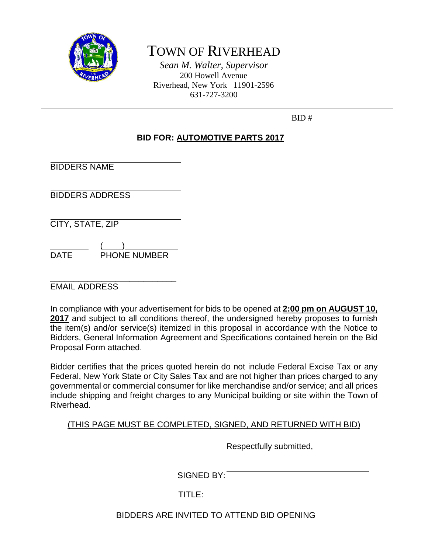

# TOWN OF RIVERHEAD

*Sean M. Walter, Supervisor* 200 Howell Avenue Riverhead, New York 11901-2596 631-727-3200

| BID# |
|------|
|------|

## **BID FOR: AUTOMOTIVE PARTS 2017**

BIDDERS NAME

BIDDERS ADDRESS

CITY, STATE, ZIP

 $($   $)$ DATE PHONE NUMBER

\_\_\_\_\_\_\_\_\_\_\_\_\_\_\_\_\_\_\_\_\_\_\_\_\_\_\_ EMAIL ADDRESS

In compliance with your advertisement for bids to be opened at **2:00 pm on AUGUST 10,**  2017 and subject to all conditions thereof, the undersigned hereby proposes to furnish the item(s) and/or service(s) itemized in this proposal in accordance with the Notice to Bidders, General Information Agreement and Specifications contained herein on the Bid Proposal Form attached.

Bidder certifies that the prices quoted herein do not include Federal Excise Tax or any Federal, New York State or City Sales Tax and are not higher than prices charged to any governmental or commercial consumer for like merchandise and/or service; and all prices include shipping and freight charges to any Municipal building or site within the Town of Riverhead.

## (THIS PAGE MUST BE COMPLETED, SIGNED, AND RETURNED WITH BID)

Respectfully submitted,

SIGNED BY:

TITLE:

BIDDERS ARE INVITED TO ATTEND BID OPENING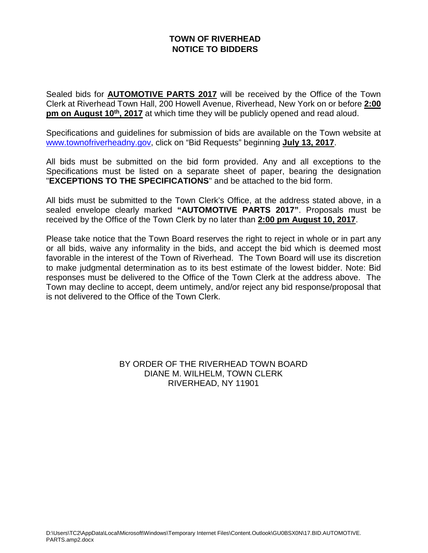## **TOWN OF RIVERHEAD NOTICE TO BIDDERS**

Sealed bids for **AUTOMOTIVE PARTS 2017** will be received by the Office of the Town Clerk at Riverhead Town Hall, 200 Howell Avenue, Riverhead, New York on or before **2:00 pm on August 10<sup>th</sup>, 2017** at which time they will be publicly opened and read aloud.

Specifications and guidelines for submission of bids are available on the Town website at [www.townofriverheadny.gov,](http://www.townofriverheadny.gov/) click on "Bid Requests" beginning **July 13, 2017**.

All bids must be submitted on the bid form provided. Any and all exceptions to the Specifications must be listed on a separate sheet of paper, bearing the designation "**EXCEPTIONS TO THE SPECIFICATIONS**" and be attached to the bid form.

All bids must be submitted to the Town Clerk's Office, at the address stated above, in a sealed envelope clearly marked **"AUTOMOTIVE PARTS 2017"**. Proposals must be received by the Office of the Town Clerk by no later than **2:00 pm August 10, 2017**.

Please take notice that the Town Board reserves the right to reject in whole or in part any or all bids, waive any informality in the bids, and accept the bid which is deemed most favorable in the interest of the Town of Riverhead. The Town Board will use its discretion to make judgmental determination as to its best estimate of the lowest bidder. Note: Bid responses must be delivered to the Office of the Town Clerk at the address above. The Town may decline to accept, deem untimely, and/or reject any bid response/proposal that is not delivered to the Office of the Town Clerk.

> BY ORDER OF THE RIVERHEAD TOWN BOARD DIANE M. WILHELM, TOWN CLERK RIVERHEAD, NY 11901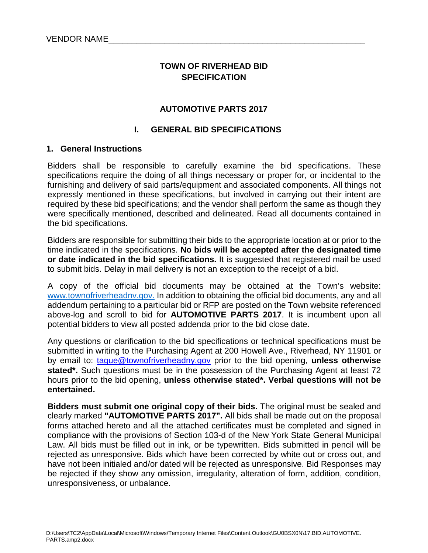## **TOWN OF RIVERHEAD BID SPECIFICATION**

## **AUTOMOTIVE PARTS 2017**

### **I. GENERAL BID SPECIFICATIONS**

#### **1. General Instructions**

Bidders shall be responsible to carefully examine the bid specifications. These specifications require the doing of all things necessary or proper for, or incidental to the furnishing and delivery of said parts/equipment and associated components. All things not expressly mentioned in these specifications, but involved in carrying out their intent are required by these bid specifications; and the vendor shall perform the same as though they were specifically mentioned, described and delineated. Read all documents contained in the bid specifications.

Bidders are responsible for submitting their bids to the appropriate location at or prior to the time indicated in the specifications. **No bids will be accepted after the designated time or date indicated in the bid specifications.** It is suggested that registered mail be used to submit bids. Delay in mail delivery is not an exception to the receipt of a bid.

A copy of the official bid documents may be obtained at the Town's website: www.townofriverheadny.gov. In addition to obtaining the official bid documents, any and all addendum pertaining to a particular bid or RFP are posted on the Town website referenced above-log and scroll to bid for **AUTOMOTIVE PARTS 2017**. It is incumbent upon all potential bidders to view all posted addenda prior to the bid close date.

Any questions or clarification to the bid specifications or technical specifications must be submitted in writing to the Purchasing Agent at 200 Howell Ave., Riverhead, NY 11901 or by email to: [tague@townofriverheadny.gov](mailto:tague@townofriverheadny.gov) prior to the bid opening, **unless otherwise stated\*.** Such questions must be in the possession of the Purchasing Agent at least 72 hours prior to the bid opening, **unless otherwise stated\*. Verbal questions will not be entertained.** 

**Bidders must submit one original copy of their bids.** The original must be sealed and clearly marked **"AUTOMOTIVE PARTS 2017".** All bids shall be made out on the proposal forms attached hereto and all the attached certificates must be completed and signed in compliance with the provisions of Section 103-d of the New York State General Municipal Law. All bids must be filled out in ink, or be typewritten. Bids submitted in pencil will be rejected as unresponsive. Bids which have been corrected by white out or cross out, and have not been initialed and/or dated will be rejected as unresponsive. Bid Responses may be rejected if they show any omission, irregularity, alteration of form, addition, condition, unresponsiveness, or unbalance.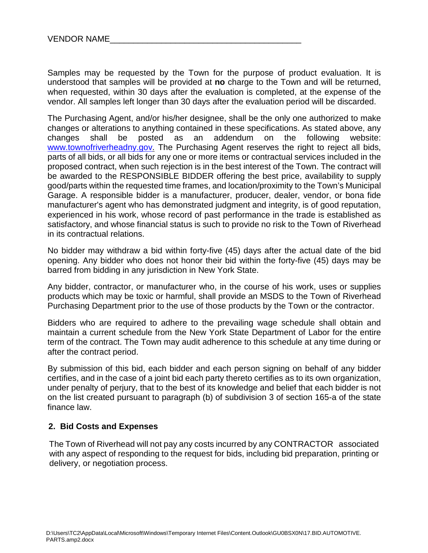Samples may be requested by the Town for the purpose of product evaluation. It is understood that samples will be provided at **no** charge to the Town and will be returned, when requested, within 30 days after the evaluation is completed, at the expense of the vendor. All samples left longer than 30 days after the evaluation period will be discarded.

The Purchasing Agent, and/or his/her designee, shall be the only one authorized to make changes or alterations to anything contained in these specifications. As stated above, any changes shall be posted as an addendum on the following website: [www.townofriverheadny.gov.](http://www.townofriverheadny.gov/) The Purchasing Agent reserves the right to reject all bids, parts of all bids, or all bids for any one or more items or contractual services included in the proposed contract, when such rejection is in the best interest of the Town. The contract will be awarded to the RESPONSIBLE BIDDER offering the best price, availability to supply good/parts within the requested time frames, and location/proximity to the Town's Municipal Garage. A responsible bidder is a manufacturer, producer, dealer, vendor, or bona fide manufacturer's agent who has demonstrated judgment and integrity, is of good reputation, experienced in his work, whose record of past performance in the trade is established as satisfactory, and whose financial status is such to provide no risk to the Town of Riverhead in its contractual relations.

No bidder may withdraw a bid within forty-five (45) days after the actual date of the bid opening. Any bidder who does not honor their bid within the forty-five (45) days may be barred from bidding in any jurisdiction in New York State.

Any bidder, contractor, or manufacturer who, in the course of his work, uses or supplies products which may be toxic or harmful, shall provide an MSDS to the Town of Riverhead Purchasing Department prior to the use of those products by the Town or the contractor.

Bidders who are required to adhere to the prevailing wage schedule shall obtain and maintain a current schedule from the New York State Department of Labor for the entire term of the contract. The Town may audit adherence to this schedule at any time during or after the contract period.

By submission of this bid, each bidder and each person signing on behalf of any bidder certifies, and in the case of a joint bid each party thereto certifies as to its own organization, under penalty of perjury, that to the best of its knowledge and belief that each bidder is not on the list created pursuant to paragraph (b) of subdivision 3 of section 165-a of the state finance law.

## **2. Bid Costs and Expenses**

 The Town of Riverhead will not pay any costs incurred by any CONTRACTOR associated with any aspect of responding to the request for bids, including bid preparation, printing or delivery, or negotiation process.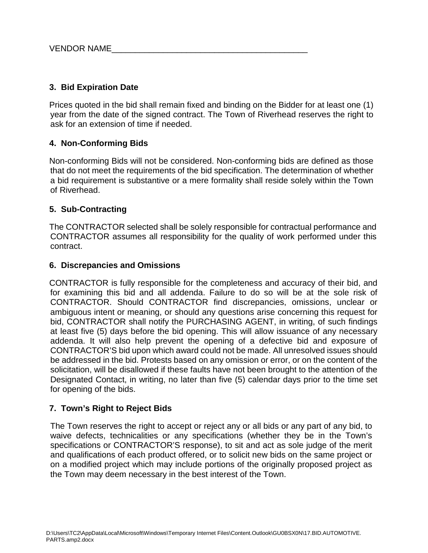## **3. Bid Expiration Date**

Prices quoted in the bid shall remain fixed and binding on the Bidder for at least one (1) year from the date of the signed contract. The Town of Riverhead reserves the right to ask for an extension of time if needed.

## **4. Non-Conforming Bids**

Non-conforming Bids will not be considered. Non-conforming bids are defined as those that do not meet the requirements of the bid specification. The determination of whether a bid requirement is substantive or a mere formality shall reside solely within the Town of Riverhead.

#### **5. Sub-Contracting**

The CONTRACTOR selected shall be solely responsible for contractual performance and CONTRACTOR assumes all responsibility for the quality of work performed under this contract.

#### **6. Discrepancies and Omissions**

CONTRACTOR is fully responsible for the completeness and accuracy of their bid, and for examining this bid and all addenda. Failure to do so will be at the sole risk of CONTRACTOR. Should CONTRACTOR find discrepancies, omissions, unclear or ambiguous intent or meaning, or should any questions arise concerning this request for bid, CONTRACTOR shall notify the PURCHASING AGENT, in writing, of such findings at least five (5) days before the bid opening. This will allow issuance of any necessary addenda. It will also help prevent the opening of a defective bid and exposure of CONTRACTOR'S bid upon which award could not be made. All unresolved issues should be addressed in the bid. Protests based on any omission or error, or on the content of the solicitation, will be disallowed if these faults have not been brought to the attention of the Designated Contact, in writing, no later than five (5) calendar days prior to the time set for opening of the bids.

## **7. Town's Right to Reject Bids**

The Town reserves the right to accept or reject any or all bids or any part of any bid, to waive defects, technicalities or any specifications (whether they be in the Town's specifications or CONTRACTOR'S response), to sit and act as sole judge of the merit and qualifications of each product offered, or to solicit new bids on the same project or on a modified project which may include portions of the originally proposed project as the Town may deem necessary in the best interest of the Town.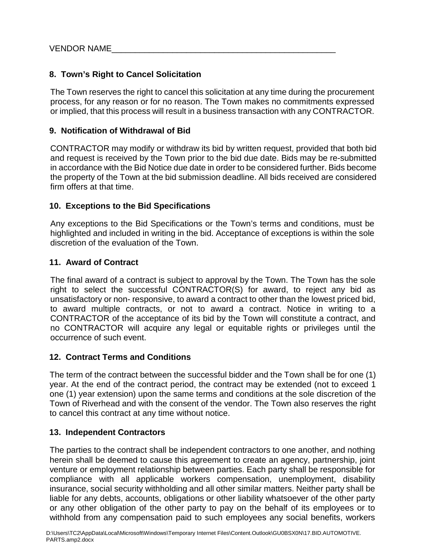## **8. Town's Right to Cancel Solicitation**

The Town reserves the right to cancel this solicitation at any time during the procurement process, for any reason or for no reason. The Town makes no commitments expressed or implied, that this process will result in a business transaction with any CONTRACTOR.

## **9. Notification of Withdrawal of Bid**

CONTRACTOR may modify or withdraw its bid by written request, provided that both bid and request is received by the Town prior to the bid due date. Bids may be re-submitted in accordance with the Bid Notice due date in order to be considered further. Bids become the property of the Town at the bid submission deadline. All bids received are considered firm offers at that time.

## **10. Exceptions to the Bid Specifications**

Any exceptions to the Bid Specifications or the Town's terms and conditions, must be highlighted and included in writing in the bid. Acceptance of exceptions is within the sole discretion of the evaluation of the Town.

## **11. Award of Contract**

The final award of a contract is subject to approval by the Town. The Town has the sole right to select the successful CONTRACTOR(S) for award, to reject any bid as unsatisfactory or non- responsive, to award a contract to other than the lowest priced bid, to award multiple contracts, or not to award a contract. Notice in writing to a CONTRACTOR of the acceptance of its bid by the Town will constitute a contract, and no CONTRACTOR will acquire any legal or equitable rights or privileges until the occurrence of such event.

## **12. Contract Terms and Conditions**

The term of the contract between the successful bidder and the Town shall be for one (1) year. At the end of the contract period, the contract may be extended (not to exceed 1 one (1) year extension) upon the same terms and conditions at the sole discretion of the Town of Riverhead and with the consent of the vendor. The Town also reserves the right to cancel this contract at any time without notice.

## **13. Independent Contractors**

The parties to the contract shall be independent contractors to one another, and nothing herein shall be deemed to cause this agreement to create an agency, partnership, joint venture or employment relationship between parties. Each party shall be responsible for compliance with all applicable workers compensation, unemployment, disability insurance, social security withholding and all other similar matters. Neither party shall be liable for any debts, accounts, obligations or other liability whatsoever of the other party or any other obligation of the other party to pay on the behalf of its employees or to withhold from any compensation paid to such employees any social benefits, workers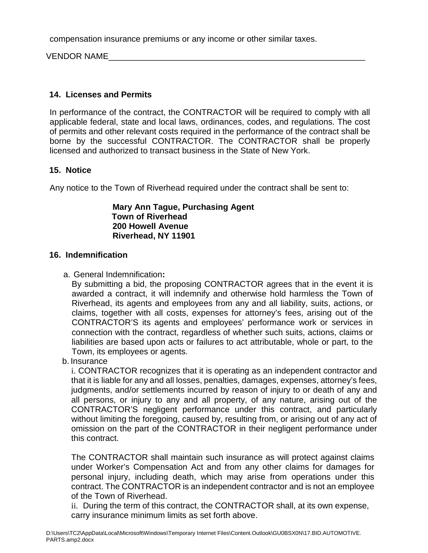compensation insurance premiums or any income or other similar taxes.

VENDOR NAME

## **14. Licenses and Permits**

In performance of the contract, the CONTRACTOR will be required to comply with all applicable federal, state and local laws, ordinances, codes, and regulations. The cost of permits and other relevant costs required in the performance of the contract shall be borne by the successful CONTRACTOR. The CONTRACTOR shall be properly licensed and authorized to transact business in the State of New York.

## **15. Notice**

Any notice to the Town of Riverhead required under the contract shall be sent to:

#### **Mary Ann Tague, Purchasing Agent Town of Riverhead 200 Howell Avenue Riverhead, NY 11901**

## **16. Indemnification**

a. General Indemnification**:**

By submitting a bid, the proposing CONTRACTOR agrees that in the event it is awarded a contract, it will indemnify and otherwise hold harmless the Town of Riverhead, its agents and employees from any and all liability, suits, actions, or claims, together with all costs, expenses for attorney's fees, arising out of the CONTRACTOR'S its agents and employees' performance work or services in connection with the contract, regardless of whether such suits, actions, claims or liabilities are based upon acts or failures to act attributable, whole or part, to the Town, its employees or agents.

b. Insurance

i. CONTRACTOR recognizes that it is operating as an independent contractor and that it is liable for any and all losses, penalties, damages, expenses, attorney's fees, judgments, and/or settlements incurred by reason of injury to or death of any and all persons, or injury to any and all property, of any nature, arising out of the CONTRACTOR'S negligent performance under this contract, and particularly without limiting the foregoing, caused by, resulting from, or arising out of any act of omission on the part of the CONTRACTOR in their negligent performance under this contract.

The CONTRACTOR shall maintain such insurance as will protect against claims under Worker's Compensation Act and from any other claims for damages for personal injury, including death, which may arise from operations under this contract. The CONTRACTOR is an independent contractor and is not an employee of the Town of Riverhead.

ii. During the term of this contract, the CONTRACTOR shall, at its own expense, carry insurance minimum limits as set forth above.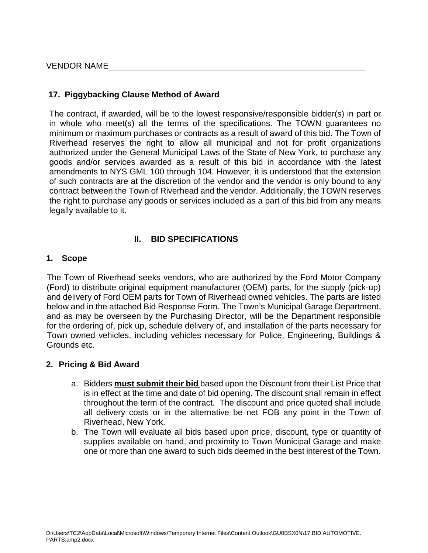VENDOR NAME

## **17. Piggybacking Clause Method of Award**

The contract, if awarded, will be to the lowest responsive/responsible bidder(s) in part or in whole who meet(s) all the terms of the specifications. The TOWN guarantees no minimum or maximum purchases or contracts as a result of award of this bid. The Town of Riverhead reserves the right to allow all municipal and not for profit organizations authorized under the General Municipal Laws of the State of New York, to purchase any goods and/or services awarded as a result of this bid in accordance with the latest amendments to NYS GML 100 through 104. However, it is understood that the extension of such contracts are at the discretion of the vendor and the vendor is only bound to any contract between the Town of Riverhead and the vendor. Additionally, the TOWN reserves the right to purchase any goods or services included as a part of this bid from any means legally available to it.

## **II. BID SPECIFICATIONS**

#### **1. Scope**

The Town of Riverhead seeks vendors, who are authorized by the Ford Motor Company (Ford) to distribute original equipment manufacturer (OEM) parts, for the supply (pick-up) and delivery of Ford OEM parts for Town of Riverhead owned vehicles. The parts are listed below and in the attached Bid Response Form. The Town's Municipal Garage Department, and as may be overseen by the Purchasing Director, will be the Department responsible for the ordering of, pick up, schedule delivery of, and installation of the parts necessary for Town owned vehicles, including vehicles necessary for Police, Engineering, Buildings & Grounds etc.

## **2. Pricing & Bid Award**

- a. Bidders **must submit their bid** based upon the Discount from their List Price that is in effect at the time and date of bid opening. The discount shall remain in effect throughout the term of the contract. The discount and price quoted shall include all delivery costs or in the alternative be net FOB any point in the Town of Riverhead, New York.
- b. The Town will evaluate all bids based upon price, discount, type or quantity of supplies available on hand, and proximity to Town Municipal Garage and make one or more than one award to such bids deemed in the best interest of the Town.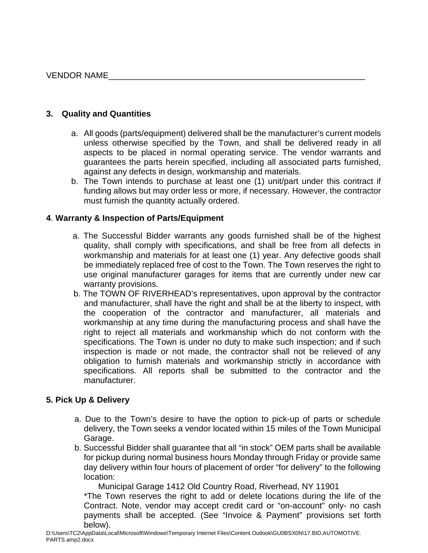## **3. Quality and Quantities**

- a. All goods (parts/equipment) delivered shall be the manufacturer's current models unless otherwise specified by the Town, and shall be delivered ready in all aspects to be placed in normal operating service. The vendor warrants and guarantees the parts herein specified, including all associated parts furnished, against any defects in design, workmanship and materials.
- b. The Town intends to purchase at least one (1) unit/part under this contract if funding allows but may order less or more, if necessary. However, the contractor must furnish the quantity actually ordered.

## **4**. **Warranty & Inspection of Parts/Equipment**

- a. The Successful Bidder warrants any goods furnished shall be of the highest quality, shall comply with specifications, and shall be free from all defects in workmanship and materials for at least one (1) year. Any defective goods shall be immediately replaced free of cost to the Town. The Town reserves the right to use original manufacturer garages for items that are currently under new car warranty provisions.
- b. The TOWN OF RIVERHEAD's representatives, upon approval by the contractor and manufacturer, shall have the right and shall be at the liberty to inspect, with the cooperation of the contractor and manufacturer, all materials and workmanship at any time during the manufacturing process and shall have the right to reject all materials and workmanship which do not conform with the specifications. The Town is under no duty to make such inspection; and if such inspection is made or not made, the contractor shall not be relieved of any obligation to furnish materials and workmanship strictly in accordance with specifications. All reports shall be submitted to the contractor and the manufacturer.

## **5. Pick Up & Delivery**

- a. Due to the Town's desire to have the option to pick-up of parts or schedule delivery, the Town seeks a vendor located within 15 miles of the Town Municipal Garage.
- b. Successful Bidder shall guarantee that all "in stock" OEM parts shall be available for pickup during normal business hours Monday through Friday or provide same day delivery within four hours of placement of order "for delivery" to the following location:

Municipal Garage 1412 Old Country Road, Riverhead, NY 11901

\*The Town reserves the right to add or delete locations during the life of the Contract. Note, vendor may accept credit card or "on-account" only- no cash payments shall be accepted. (See "Invoice & Payment" provisions set forth below).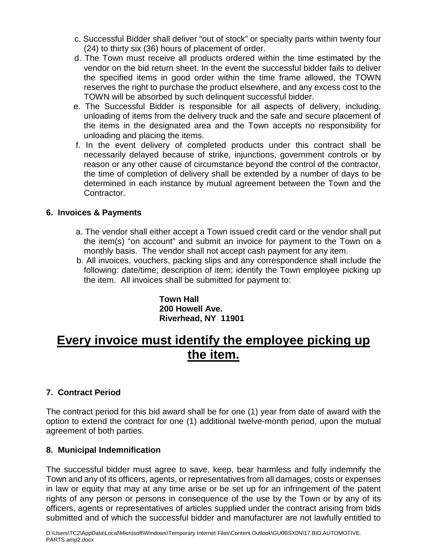- c. Successful Bidder shall deliver "out of stock" or specialty parts within twenty four (24) to thirty six (36) hours of placement of order.
- d. The Town must receive all products ordered within the time estimated by the vendor on the bid return sheet. In the event the successful bidder fails to deliver the specified items in good order within the time frame allowed, the TOWN reserves the right to purchase the product elsewhere, and any excess cost to the TOWN will be absorbed by such delinquent successful bidder.
- e. The Successful Bidder is responsible for all aspects of delivery, including, unloading of items from the delivery truck and the safe and secure placement of the items in the designated area and the Town accepts no responsibility for unloading and placing the items.
- f. In the event delivery of completed products under this contract shall be necessarily delayed because of strike, injunctions, government controls or by reason or any other cause of circumstance beyond the control of the contractor, the time of completion of delivery shall be extended by a number of days to be determined in each instance by mutual agreement between the Town and the Contractor.

## **6. Invoices & Payments**

- a. The vendor shall either accept a Town issued credit card or the vendor shall put the item(s) "on account" and submit an invoice for payment to the Town on a monthly basis. The vendor shall not accept cash payment for any item.
- b. All invoices, vouchers, packing slips and any correspondence shall include the following: date/time; description of item; identify the Town employee picking up the item. All invoices shall be submitted for payment to:

**Town Hall 200 Howell Ave. Riverhead, NY 11901**

# **Every invoice must identify the employee picking up the item.**

## **7. Contract Period**

The contract period for this bid award shall be for one (1) year from date of award with the option to extend the contract for one (1) additional twelve-month period, upon the mutual agreement of both parties.

#### **8. Municipal Indemnification**

The successful bidder must agree to save, keep, bear harmless and fully indemnify the Town and any of its officers, agents, or representatives from all damages, costs or expenses in law or equity that may at any time arise or be set up for an infringement of the patent rights of any person or persons in consequence of the use by the Town or by any of its officers, agents or representatives of articles supplied under the contract arising from bids submitted and of which the successful bidder and manufacturer are not lawfully entitled to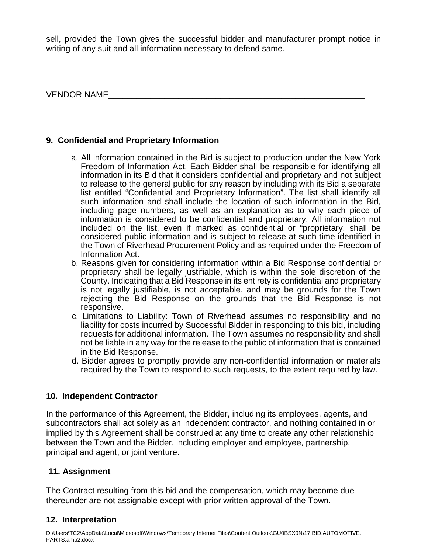sell, provided the Town gives the successful bidder and manufacturer prompt notice in writing of any suit and all information necessary to defend same.

VENDOR NAME\_\_\_\_\_\_\_\_\_\_\_\_\_\_\_\_\_\_\_\_\_\_\_\_\_\_\_\_\_\_\_\_\_\_\_\_\_\_\_\_\_\_\_\_\_\_\_\_\_\_\_\_\_\_\_

## **9. Confidential and Proprietary Information**

- a. All information contained in the Bid is subject to production under the New York Freedom of Information Act. Each Bidder shall be responsible for identifying all information in its Bid that it considers confidential and proprietary and not subject to release to the general public for any reason by including with its Bid a separate list entitled "Confidential and Proprietary Information". The list shall identify all such information and shall include the location of such information in the Bid, including page numbers, as well as an explanation as to why each piece of information is considered to be confidential and proprietary. All information not included on the list, even if marked as confidential or "proprietary, shall be considered public information and is subject to release at such time identified in the Town of Riverhead Procurement Policy and as required under the Freedom of Information Act.
- b. Reasons given for considering information within a Bid Response confidential or proprietary shall be legally justifiable, which is within the sole discretion of the County. Indicating that a Bid Response in its entirety is confidential and proprietary is not legally justifiable, is not acceptable, and may be grounds for the Town rejecting the Bid Response on the grounds that the Bid Response is not responsive.
- c. Limitations to Liability: Town of Riverhead assumes no responsibility and no liability for costs incurred by Successful Bidder in responding to this bid, including requests for additional information. The Town assumes no responsibility and shall not be liable in any way for the release to the public of information that is contained in the Bid Response.
- d. Bidder agrees to promptly provide any non-confidential information or materials required by the Town to respond to such requests, to the extent required by law.

## **10. Independent Contractor**

In the performance of this Agreement, the Bidder, including its employees, agents, and subcontractors shall act solely as an independent contractor, and nothing contained in or implied by this Agreement shall be construed at any time to create any other relationship between the Town and the Bidder, including employer and employee, partnership, principal and agent, or joint venture.

## **11. Assignment**

The Contract resulting from this bid and the compensation, which may become due thereunder are not assignable except with prior written approval of the Town.

## **12. Interpretation**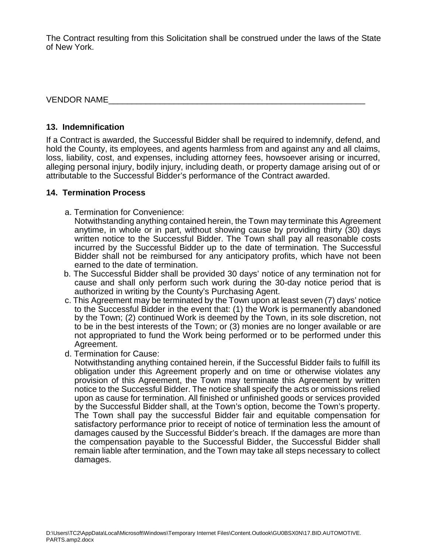The Contract resulting from this Solicitation shall be construed under the laws of the State of New York.

VENDOR NAME

### **13. Indemnification**

If a Contract is awarded, the Successful Bidder shall be required to indemnify, defend, and hold the County, its employees, and agents harmless from and against any and all claims, loss, liability, cost, and expenses, including attorney fees, howsoever arising or incurred, alleging personal injury, bodily injury, including death, or property damage arising out of or attributable to the Successful Bidder's performance of the Contract awarded.

## **14. Termination Process**

a. Termination for Convenience:

Notwithstanding anything contained herein, the Town may terminate this Agreement anytime, in whole or in part, without showing cause by providing thirty (30) days written notice to the Successful Bidder. The Town shall pay all reasonable costs incurred by the Successful Bidder up to the date of termination. The Successful Bidder shall not be reimbursed for any anticipatory profits, which have not been earned to the date of termination.

- b. The Successful Bidder shall be provided 30 days' notice of any termination not for cause and shall only perform such work during the 30-day notice period that is authorized in writing by the County's Purchasing Agent.
- c. This Agreement may be terminated by the Town upon at least seven (7) days' notice to the Successful Bidder in the event that: (1) the Work is permanently abandoned by the Town; (2) continued Work is deemed by the Town, in its sole discretion, not to be in the best interests of the Town; or (3) monies are no longer available or are not appropriated to fund the Work being performed or to be performed under this Agreement.
- d. Termination for Cause:

Notwithstanding anything contained herein, if the Successful Bidder fails to fulfill its obligation under this Agreement properly and on time or otherwise violates any provision of this Agreement, the Town may terminate this Agreement by written notice to the Successful Bidder. The notice shall specify the acts or omissions relied upon as cause for termination. All finished or unfinished goods or services provided by the Successful Bidder shall, at the Town's option, become the Town's property. The Town shall pay the successful Bidder fair and equitable compensation for satisfactory performance prior to receipt of notice of termination less the amount of damages caused by the Successful Bidder's breach. If the damages are more than the compensation payable to the Successful Bidder, the Successful Bidder shall remain liable after termination, and the Town may take all steps necessary to collect damages.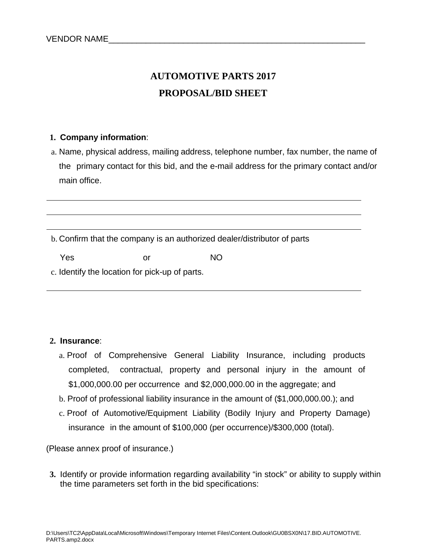# **AUTOMOTIVE PARTS 2017 PROPOSAL/BID SHEET**

#### **1. Company information**:

a. Name, physical address, mailing address, telephone number, fax number, the name of the primary contact for this bid, and the e-mail address for the primary contact and/or main office.

b. Confirm that the company is an authorized dealer/distributor of parts

Yes or NO

c. Identify the location for pick-up of parts.

## **2. Insurance**:

- a. Proof of Comprehensive General Liability Insurance, including products completed, contractual, property and personal injury in the amount of \$1,000,000.00 per occurrence and \$2,000,000.00 in the aggregate; and
- b. Proof of professional liability insurance in the amount of (\$1,000,000.00.); and
- c. Proof of Automotive/Equipment Liability (Bodily Injury and Property Damage) insurance in the amount of \$100,000 (per occurrence)/\$300,000 (total).

(Please annex proof of insurance.)

**3.** Identify or provide information regarding availability "in stock" or ability to supply within the time parameters set forth in the bid specifications: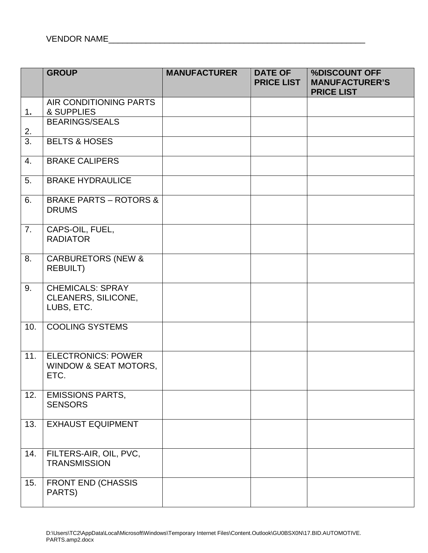|     | <b>GROUP</b>                                                          | <b>MANUFACTURER</b> | <b>DATE OF</b><br><b>PRICE LIST</b> | %DISCOUNT OFF<br><b>MANUFACTURER'S</b><br><b>PRICE LIST</b> |
|-----|-----------------------------------------------------------------------|---------------------|-------------------------------------|-------------------------------------------------------------|
| 1.  | AIR CONDITIONING PARTS<br>& SUPPLIES                                  |                     |                                     |                                                             |
| 2.  | <b>BEARINGS/SEALS</b>                                                 |                     |                                     |                                                             |
| 3.  | <b>BELTS &amp; HOSES</b>                                              |                     |                                     |                                                             |
| 4.  | <b>BRAKE CALIPERS</b>                                                 |                     |                                     |                                                             |
| 5.  | <b>BRAKE HYDRAULICE</b>                                               |                     |                                     |                                                             |
| 6.  | <b>BRAKE PARTS - ROTORS &amp;</b><br><b>DRUMS</b>                     |                     |                                     |                                                             |
| 7.  | CAPS-OIL, FUEL,<br><b>RADIATOR</b>                                    |                     |                                     |                                                             |
| 8.  | <b>CARBURETORS (NEW &amp;</b><br><b>REBUILT)</b>                      |                     |                                     |                                                             |
| 9.  | <b>CHEMICALS: SPRAY</b><br>CLEANERS, SILICONE,<br>LUBS, ETC.          |                     |                                     |                                                             |
| 10. | <b>COOLING SYSTEMS</b>                                                |                     |                                     |                                                             |
| 11. | <b>ELECTRONICS: POWER</b><br><b>WINDOW &amp; SEAT MOTORS,</b><br>ETC. |                     |                                     |                                                             |
| 12. | <b>EMISSIONS PARTS,</b><br><b>SENSORS</b>                             |                     |                                     |                                                             |
| 13. | <b>EXHAUST EQUIPMENT</b>                                              |                     |                                     |                                                             |
| 14. | FILTERS-AIR, OIL, PVC,<br><b>TRANSMISSION</b>                         |                     |                                     |                                                             |
| 15. | <b>FRONT END (CHASSIS</b><br>PARTS)                                   |                     |                                     |                                                             |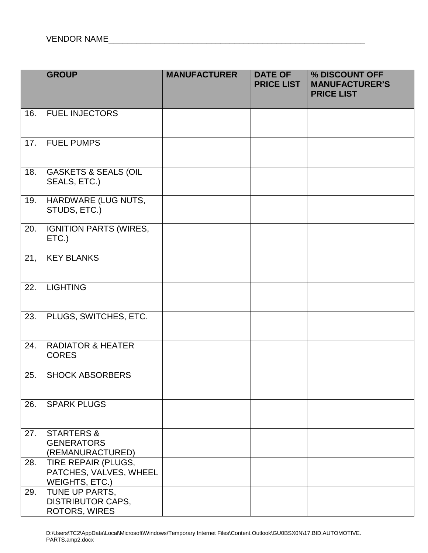|     | <b>GROUP</b>                                                    | <b>MANUFACTURER</b> | <b>DATE OF</b><br><b>PRICE LIST</b> | % DISCOUNT OFF<br><b>MANUFACTURER'S</b><br><b>PRICE LIST</b> |
|-----|-----------------------------------------------------------------|---------------------|-------------------------------------|--------------------------------------------------------------|
| 16. | <b>FUEL INJECTORS</b>                                           |                     |                                     |                                                              |
| 17. | <b>FUEL PUMPS</b>                                               |                     |                                     |                                                              |
| 18. | <b>GASKETS &amp; SEALS (OIL</b><br>SEALS, ETC.)                 |                     |                                     |                                                              |
| 19. | <b>HARDWARE (LUG NUTS,</b><br>STUDS, ETC.)                      |                     |                                     |                                                              |
| 20. | <b>IGNITION PARTS (WIRES,</b><br>ETC.)                          |                     |                                     |                                                              |
| 21, | <b>KEY BLANKS</b>                                               |                     |                                     |                                                              |
| 22. | <b>LIGHTING</b>                                                 |                     |                                     |                                                              |
| 23. | PLUGS, SWITCHES, ETC.                                           |                     |                                     |                                                              |
| 24. | <b>RADIATOR &amp; HEATER</b><br><b>CORES</b>                    |                     |                                     |                                                              |
| 25. | <b>SHOCK ABSORBERS</b>                                          |                     |                                     |                                                              |
| 26. | <b>SPARK PLUGS</b>                                              |                     |                                     |                                                              |
| 27. | <b>STARTERS &amp;</b><br><b>GENERATORS</b><br>(REMANURACTURED)  |                     |                                     |                                                              |
| 28. | TIRE REPAIR (PLUGS,<br>PATCHES, VALVES, WHEEL<br>WEIGHTS, ETC.) |                     |                                     |                                                              |
| 29. | TUNE UP PARTS,<br><b>DISTRIBUTOR CAPS,</b><br>ROTORS, WIRES     |                     |                                     |                                                              |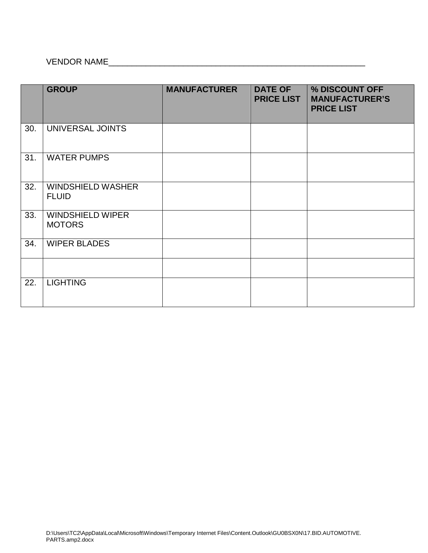## VENDOR NAME\_\_\_\_\_\_\_\_\_\_\_\_\_\_\_\_\_\_\_\_\_\_\_\_\_\_\_\_\_\_\_\_\_\_\_\_\_\_\_\_\_\_\_\_\_\_\_\_\_\_\_\_\_\_\_

|     | <b>GROUP</b>                             | <b>MANUFACTURER</b> | <b>DATE OF</b><br><b>PRICE LIST</b> | % DISCOUNT OFF<br><b>MANUFACTURER'S</b><br><b>PRICE LIST</b> |
|-----|------------------------------------------|---------------------|-------------------------------------|--------------------------------------------------------------|
| 30. | UNIVERSAL JOINTS                         |                     |                                     |                                                              |
| 31. | <b>WATER PUMPS</b>                       |                     |                                     |                                                              |
| 32. | <b>WINDSHIELD WASHER</b><br><b>FLUID</b> |                     |                                     |                                                              |
| 33. | <b>WINDSHIELD WIPER</b><br><b>MOTORS</b> |                     |                                     |                                                              |
| 34. | <b>WIPER BLADES</b>                      |                     |                                     |                                                              |
|     |                                          |                     |                                     |                                                              |
| 22. | <b>LIGHTING</b>                          |                     |                                     |                                                              |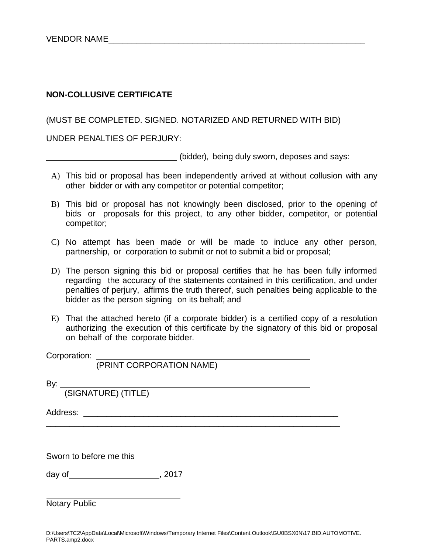#### **NON-COLLUSIVE CERTIFICATE**

#### (MUST BE COMPLETED. SIGNED. NOTARIZED AND RETURNED WITH BID)

UNDER PENALTIES OF PERJURY:

(bidder), being duly sworn, deposes and says:

- A) This bid or proposal has been independently arrived at without collusion with any other bidder or with any competitor or potential competitor;
- B) This bid or proposal has not knowingly been disclosed, prior to the opening of bids or proposals for this project, to any other bidder, competitor, or potential competitor;
- C) No attempt has been made or will be made to induce any other person, partnership, or corporation to submit or not to submit a bid or proposal;
- D) The person signing this bid or proposal certifies that he has been fully informed regarding the accuracy of the statements contained in this certification, and under penalties of perjury, affirms the truth thereof, such penalties being applicable to the bidder as the person signing on its behalf; and
- E) That the attached hereto (if a corporate bidder) is a certified copy of a resolution authorizing the execution of this certificate by the signatory of this bid or proposal on behalf of the corporate bidder.

Corporation:

(PRINT CORPORATION NAME)

By:

(SIGNATURE) (TITLE)

Address: \_\_\_\_\_\_\_\_\_\_\_\_\_\_\_\_\_\_\_\_\_\_\_\_\_\_\_\_\_\_\_\_\_\_\_\_\_\_\_\_\_\_\_\_\_\_\_\_\_\_\_\_\_\_\_

Sworn to before me this

day of , 2017

Notary Public

\_\_\_\_\_\_\_\_\_\_\_\_\_\_\_\_\_\_\_\_\_\_\_\_\_\_\_\_\_\_\_\_\_\_\_\_\_\_\_\_\_\_\_\_\_\_\_\_\_\_\_\_\_\_\_\_\_\_\_\_\_\_\_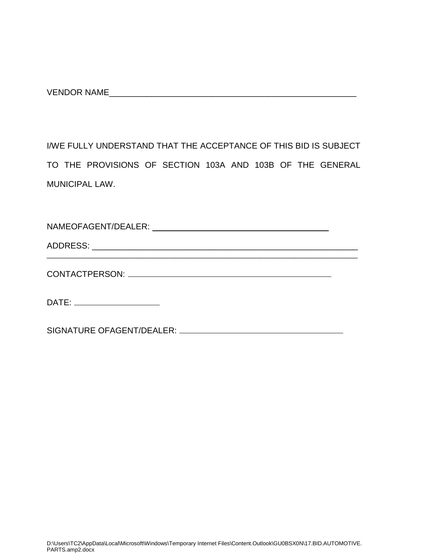VENDOR NAME

I/WE FULLY UNDERSTAND THAT THE ACCEPTANCE OF THIS BID IS SUBJECT TO THE PROVISIONS OF SECTION 103A AND 103B OF THE GENERAL MUNICIPAL LAW.

| DATE: ______________________ |  |
|------------------------------|--|
|                              |  |